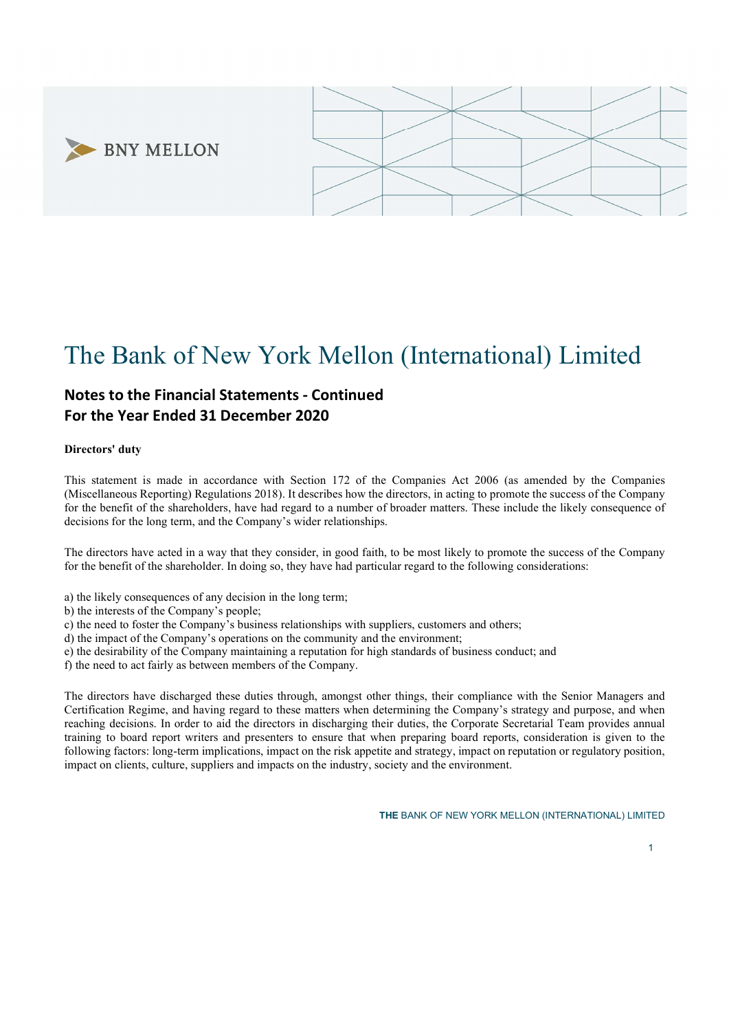



# The Bank of New York Mellon (International) Limited

# Notes to the Financial Statements - Continued For the Year Ended 31 December 2020

# Directors' duty

This statement is made in accordance with Section 172 of the Companies Act 2006 (as amended by the Companies (Miscellaneous Reporting) Regulations 2018). It describes how the directors, in acting to promote the success of the Company for the benefit of the shareholders, have had regard to a number of broader matters. These include the likely consequence of decisions for the long term, and the Company's wider relationships.

The directors have acted in a way that they consider, in good faith, to be most likely to promote the success of the Company for the benefit of the shareholder. In doing so, they have had particular regard to the following considerations:

- a) the likely consequences of any decision in the long term;
- b) the interests of the Company's people;
- c) the need to foster the Company's business relationships with suppliers, customers and others;
- d) the impact of the Company's operations on the community and the environment;
- e) the desirability of the Company maintaining a reputation for high standards of business conduct; and
- f) the need to act fairly as between members of the Company.

The directors have discharged these duties through, amongst other things, their compliance with the Senior Managers and Certification Regime, and having regard to these matters when determining the Company's strategy and purpose, and when reaching decisions. In order to aid the directors in discharging their duties, the Corporate Secretarial Team provides annual training to board report writers and presenters to ensure that when preparing board reports, consideration is given to the following factors: long-term implications, impact on the risk appetite and strategy, impact on reputation or regulatory position, impact on clients, culture, suppliers and impacts on the industry, society and the environment.

1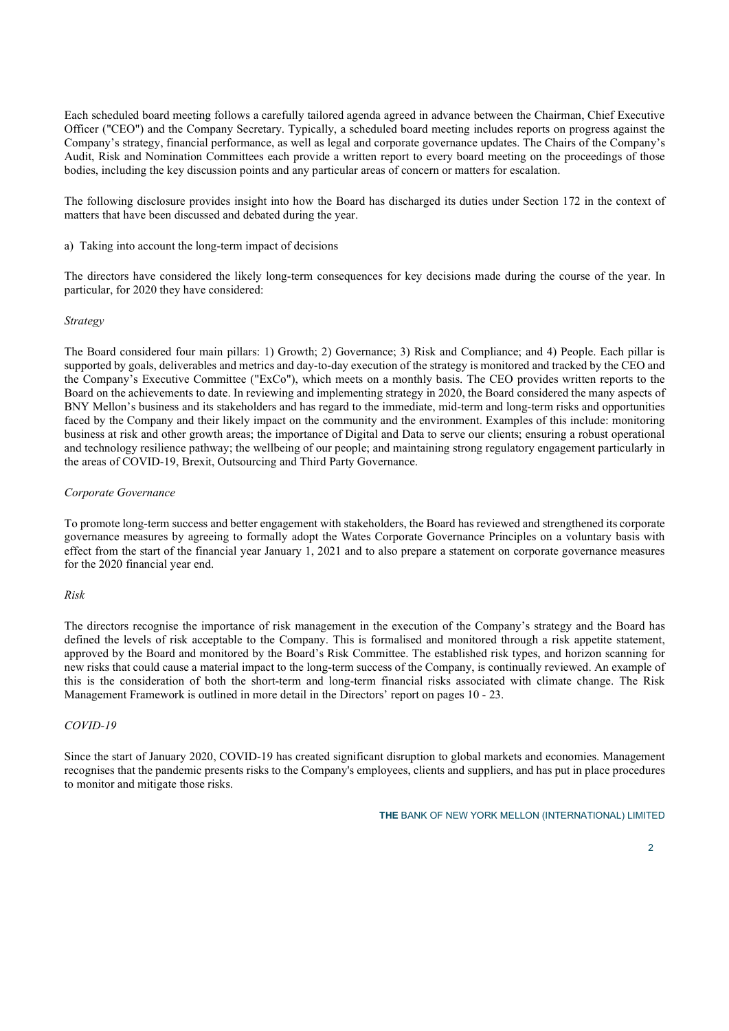Each scheduled board meeting follows a carefully tailored agenda agreed in advance between the Chairman, Chief Executive Officer ("CEO") and the Company Secretary. Typically, a scheduled board meeting includes reports on progress against the Company's strategy, financial performance, as well as legal and corporate governance updates. The Chairs of the Company's Audit, Risk and Nomination Committees each provide a written report to every board meeting on the proceedings of those bodies, including the key discussion points and any particular areas of concern or matters for escalation.

The following disclosure provides insight into how the Board has discharged its duties under Section 172 in the context of matters that have been discussed and debated during the year.

a) Taking into account the long-term impact of decisions

The directors have considered the likely long-term consequences for key decisions made during the course of the year. In particular, for 2020 they have considered:

# Strategy

The Board considered four main pillars: 1) Growth; 2) Governance; 3) Risk and Compliance; and 4) People. Each pillar is supported by goals, deliverables and metrics and day-to-day execution of the strategy is monitored and tracked by the CEO and the Company's Executive Committee ("ExCo"), which meets on a monthly basis. The CEO provides written reports to the Board on the achievements to date. In reviewing and implementing strategy in 2020, the Board considered the many aspects of BNY Mellon's business and its stakeholders and has regard to the immediate, mid-term and long-term risks and opportunities faced by the Company and their likely impact on the community and the environment. Examples of this include: monitoring business at risk and other growth areas; the importance of Digital and Data to serve our clients; ensuring a robust operational and technology resilience pathway; the wellbeing of our people; and maintaining strong regulatory engagement particularly in the areas of COVID-19, Brexit, Outsourcing and Third Party Governance.

# Corporate Governance

To promote long-term success and better engagement with stakeholders, the Board has reviewed and strengthened its corporate governance measures by agreeing to formally adopt the Wates Corporate Governance Principles on a voluntary basis with effect from the start of the financial year January 1, 2021 and to also prepare a statement on corporate governance measures for the 2020 financial year end.

# Risk

The directors recognise the importance of risk management in the execution of the Company's strategy and the Board has defined the levels of risk acceptable to the Company. This is formalised and monitored through a risk appetite statement, approved by the Board and monitored by the Board's Risk Committee. The established risk types, and horizon scanning for new risks that could cause a material impact to the long-term success of the Company, is continually reviewed. An example of this is the consideration of both the short-term and long-term financial risks associated with climate change. The Risk Management Framework is outlined in more detail in the Directors' report on pages 10 - 23.

#### COVID-19

Since the start of January 2020, COVID-19 has created significant disruption to global markets and economies. Management recognises that the pandemic presents risks to the Company's employees, clients and suppliers, and has put in place procedures to monitor and mitigate those risks.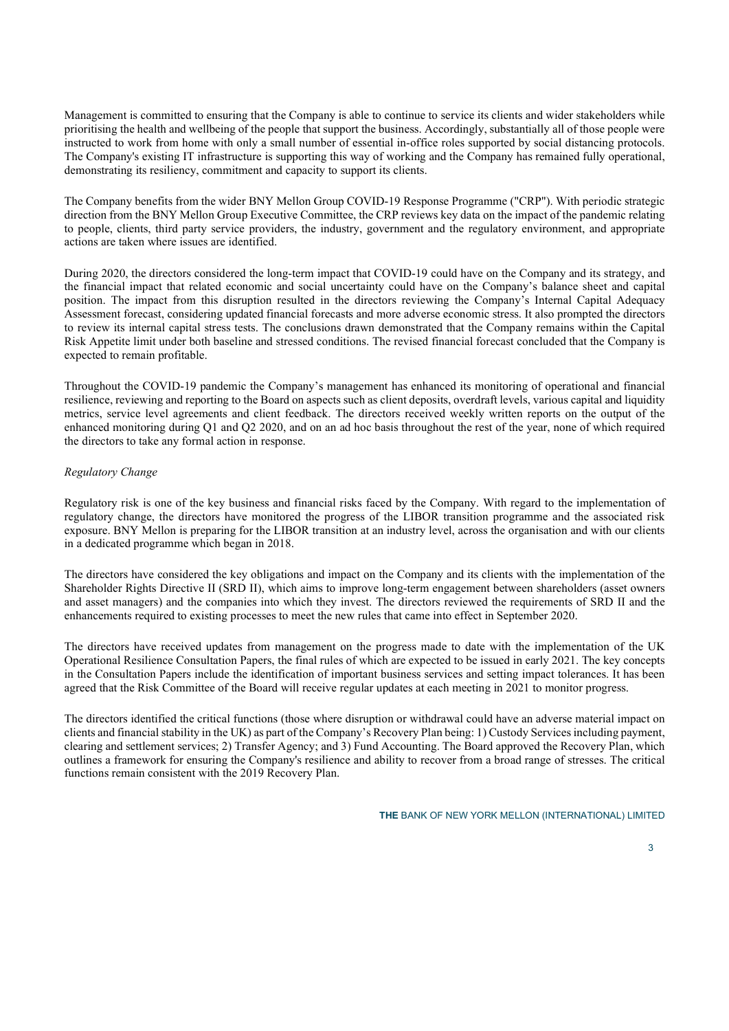Management is committed to ensuring that the Company is able to continue to service its clients and wider stakeholders while prioritising the health and wellbeing of the people that support the business. Accordingly, substantially all of those people were instructed to work from home with only a small number of essential in-office roles supported by social distancing protocols. The Company's existing IT infrastructure is supporting this way of working and the Company has remained fully operational, demonstrating its resiliency, commitment and capacity to support its clients.

The Company benefits from the wider BNY Mellon Group COVID-19 Response Programme ("CRP"). With periodic strategic direction from the BNY Mellon Group Executive Committee, the CRP reviews key data on the impact of the pandemic relating to people, clients, third party service providers, the industry, government and the regulatory environment, and appropriate actions are taken where issues are identified.

During 2020, the directors considered the long-term impact that COVID-19 could have on the Company and its strategy, and the financial impact that related economic and social uncertainty could have on the Company's balance sheet and capital position. The impact from this disruption resulted in the directors reviewing the Company's Internal Capital Adequacy Assessment forecast, considering updated financial forecasts and more adverse economic stress. It also prompted the directors to review its internal capital stress tests. The conclusions drawn demonstrated that the Company remains within the Capital Risk Appetite limit under both baseline and stressed conditions. The revised financial forecast concluded that the Company is expected to remain profitable.

Throughout the COVID-19 pandemic the Company's management has enhanced its monitoring of operational and financial resilience, reviewing and reporting to the Board on aspects such as client deposits, overdraft levels, various capital and liquidity metrics, service level agreements and client feedback. The directors received weekly written reports on the output of the enhanced monitoring during Q1 and Q2 2020, and on an ad hoc basis throughout the rest of the year, none of which required the directors to take any formal action in response.

# Regulatory Change

Regulatory risk is one of the key business and financial risks faced by the Company. With regard to the implementation of regulatory change, the directors have monitored the progress of the LIBOR transition programme and the associated risk exposure. BNY Mellon is preparing for the LIBOR transition at an industry level, across the organisation and with our clients in a dedicated programme which began in 2018.

The directors have considered the key obligations and impact on the Company and its clients with the implementation of the Shareholder Rights Directive II (SRD II), which aims to improve long-term engagement between shareholders (asset owners and asset managers) and the companies into which they invest. The directors reviewed the requirements of SRD II and the enhancements required to existing processes to meet the new rules that came into effect in September 2020.

The directors have received updates from management on the progress made to date with the implementation of the UK Operational Resilience Consultation Papers, the final rules of which are expected to be issued in early 2021. The key concepts in the Consultation Papers include the identification of important business services and setting impact tolerances. It has been agreed that the Risk Committee of the Board will receive regular updates at each meeting in 2021 to monitor progress.

The directors identified the critical functions (those where disruption or withdrawal could have an adverse material impact on clients and financial stability in the UK) as part of the Company's Recovery Plan being: 1) Custody Services including payment, clearing and settlement services; 2) Transfer Agency; and 3) Fund Accounting. The Board approved the Recovery Plan, which outlines a framework for ensuring the Company's resilience and ability to recover from a broad range of stresses. The critical functions remain consistent with the 2019 Recovery Plan.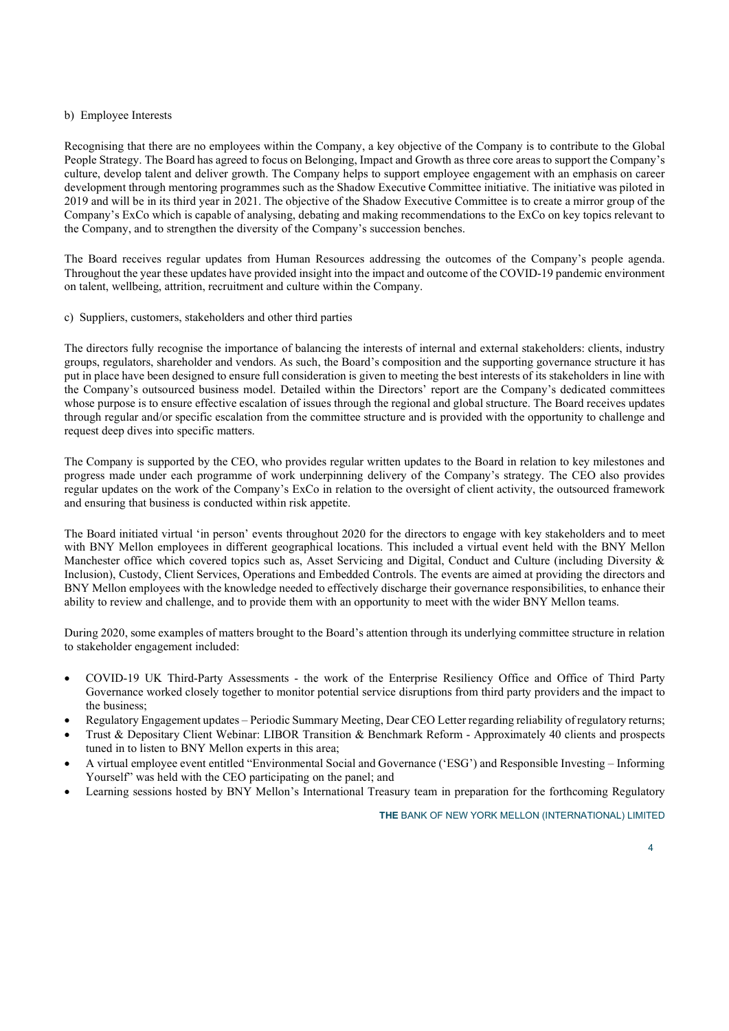# b) Employee Interests

Recognising that there are no employees within the Company, a key objective of the Company is to contribute to the Global People Strategy. The Board has agreed to focus on Belonging, Impact and Growth as three core areas to support the Company's culture, develop talent and deliver growth. The Company helps to support employee engagement with an emphasis on career development through mentoring programmes such as the Shadow Executive Committee initiative. The initiative was piloted in 2019 and will be in its third year in 2021. The objective of the Shadow Executive Committee is to create a mirror group of the Company's ExCo which is capable of analysing, debating and making recommendations to the ExCo on key topics relevant to the Company, and to strengthen the diversity of the Company's succession benches.

The Board receives regular updates from Human Resources addressing the outcomes of the Company's people agenda. Throughout the year these updates have provided insight into the impact and outcome of the COVID-19 pandemic environment on talent, wellbeing, attrition, recruitment and culture within the Company.

# c) Suppliers, customers, stakeholders and other third parties

The directors fully recognise the importance of balancing the interests of internal and external stakeholders: clients, industry groups, regulators, shareholder and vendors. As such, the Board's composition and the supporting governance structure it has put in place have been designed to ensure full consideration is given to meeting the best interests of its stakeholders in line with the Company's outsourced business model. Detailed within the Directors' report are the Company's dedicated committees whose purpose is to ensure effective escalation of issues through the regional and global structure. The Board receives updates through regular and/or specific escalation from the committee structure and is provided with the opportunity to challenge and request deep dives into specific matters.

The Company is supported by the CEO, who provides regular written updates to the Board in relation to key milestones and progress made under each programme of work underpinning delivery of the Company's strategy. The CEO also provides regular updates on the work of the Company's ExCo in relation to the oversight of client activity, the outsourced framework and ensuring that business is conducted within risk appetite.

The Board initiated virtual 'in person' events throughout 2020 for the directors to engage with key stakeholders and to meet with BNY Mellon employees in different geographical locations. This included a virtual event held with the BNY Mellon Manchester office which covered topics such as, Asset Servicing and Digital, Conduct and Culture (including Diversity & Inclusion), Custody, Client Services, Operations and Embedded Controls. The events are aimed at providing the directors and BNY Mellon employees with the knowledge needed to effectively discharge their governance responsibilities, to enhance their ability to review and challenge, and to provide them with an opportunity to meet with the wider BNY Mellon teams.

During 2020, some examples of matters brought to the Board's attention through its underlying committee structure in relation to stakeholder engagement included:

- COVID-19 UK Third-Party Assessments the work of the Enterprise Resiliency Office and Office of Third Party Governance worked closely together to monitor potential service disruptions from third party providers and the impact to the business;
- Regulatory Engagement updates Periodic Summary Meeting, Dear CEO Letter regarding reliability of regulatory returns;
- Trust & Depositary Client Webinar: LIBOR Transition & Benchmark Reform Approximately 40 clients and prospects tuned in to listen to BNY Mellon experts in this area;
- A virtual employee event entitled "Environmental Social and Governance ('ESG') and Responsible Investing Informing Yourself" was held with the CEO participating on the panel; and
- Learning sessions hosted by BNY Mellon's International Treasury team in preparation for the forthcoming Regulatory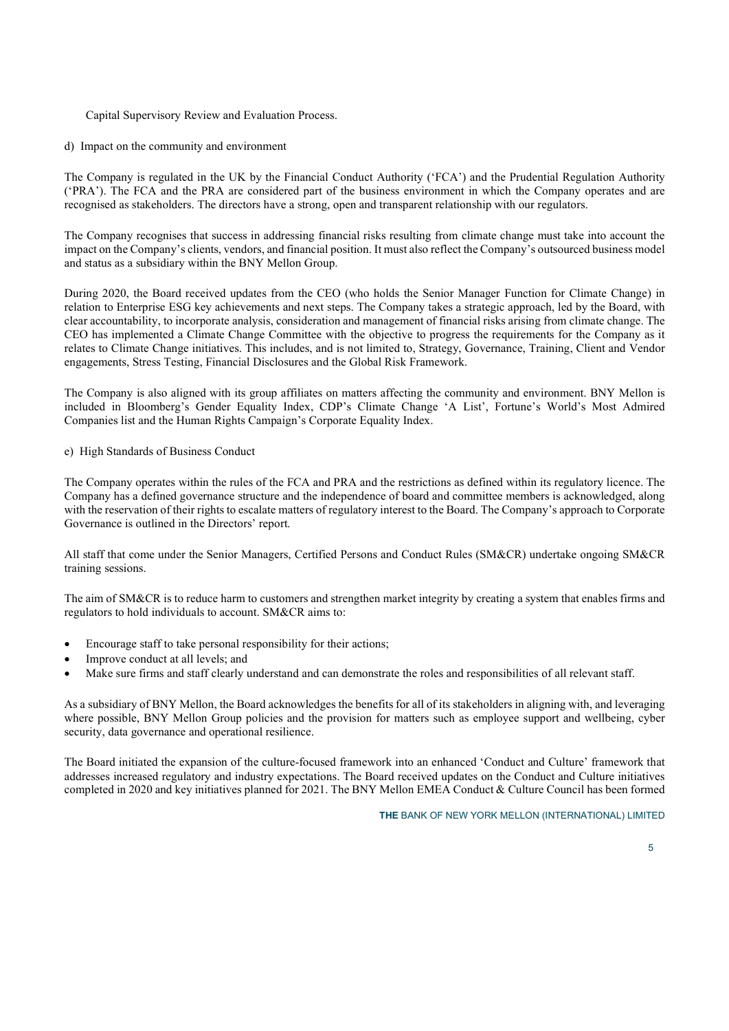# Capital Supervisory Review and Evaluation Process.

d) Impact on the community and environment

The Company is regulated in the UK by the Financial Conduct Authority ('FCA') and the Prudential Regulation Authority ('PRA'). The FCA and the PRA are considered part of the business environment in which the Company operates and are recognised as stakeholders. The directors have a strong, open and transparent relationship with our regulators.

The Company recognises that success in addressing financial risks resulting from climate change must take into account the impact on the Company's clients, vendors, and financial position. It must also reflect the Company's outsourced business model and status as a subsidiary within the BNY Mellon Group.

During 2020, the Board received updates from the CEO (who holds the Senior Manager Function for Climate Change) in relation to Enterprise ESG key achievements and next steps. The Company takes a strategic approach, led by the Board, with clear accountability, to incorporate analysis, consideration and management of financial risks arising from climate change. The CEO has implemented a Climate Change Committee with the objective to progress the requirements for the Company as it relates to Climate Change initiatives. This includes, and is not limited to, Strategy, Governance, Training, Client and Vendor engagements, Stress Testing, Financial Disclosures and the Global Risk Framework.

The Company is also aligned with its group affiliates on matters affecting the community and environment. BNY Mellon is included in Bloomberg's Gender Equality Index, CDP's Climate Change 'A List', Fortune's World's Most Admired Companies list and the Human Rights Campaign's Corporate Equality Index.

# e) High Standards of Business Conduct

The Company operates within the rules of the FCA and PRA and the restrictions as defined within its regulatory licence. The Company has a defined governance structure and the independence of board and committee members is acknowledged, along with the reservation of their rights to escalate matters of regulatory interest to the Board. The Company's approach to Corporate Governance is outlined in the Directors' report.

All staff that come under the Senior Managers, Certified Persons and Conduct Rules (SM&CR) undertake ongoing SM&CR training sessions.

The aim of SM&CR is to reduce harm to customers and strengthen market integrity by creating a system that enables firms and regulators to hold individuals to account. SM&CR aims to:

- Encourage staff to take personal responsibility for their actions;
- Improve conduct at all levels; and
- Make sure firms and staff clearly understand and can demonstrate the roles and responsibilities of all relevant staff.

As a subsidiary of BNY Mellon, the Board acknowledges the benefits for all of its stakeholders in aligning with, and leveraging where possible, BNY Mellon Group policies and the provision for matters such as employee support and wellbeing, cyber security, data governance and operational resilience.

The Board initiated the expansion of the culture-focused framework into an enhanced 'Conduct and Culture' framework that addresses increased regulatory and industry expectations. The Board received updates on the Conduct and Culture initiatives completed in 2020 and key initiatives planned for 2021. The BNY Mellon EMEA Conduct & Culture Council has been formed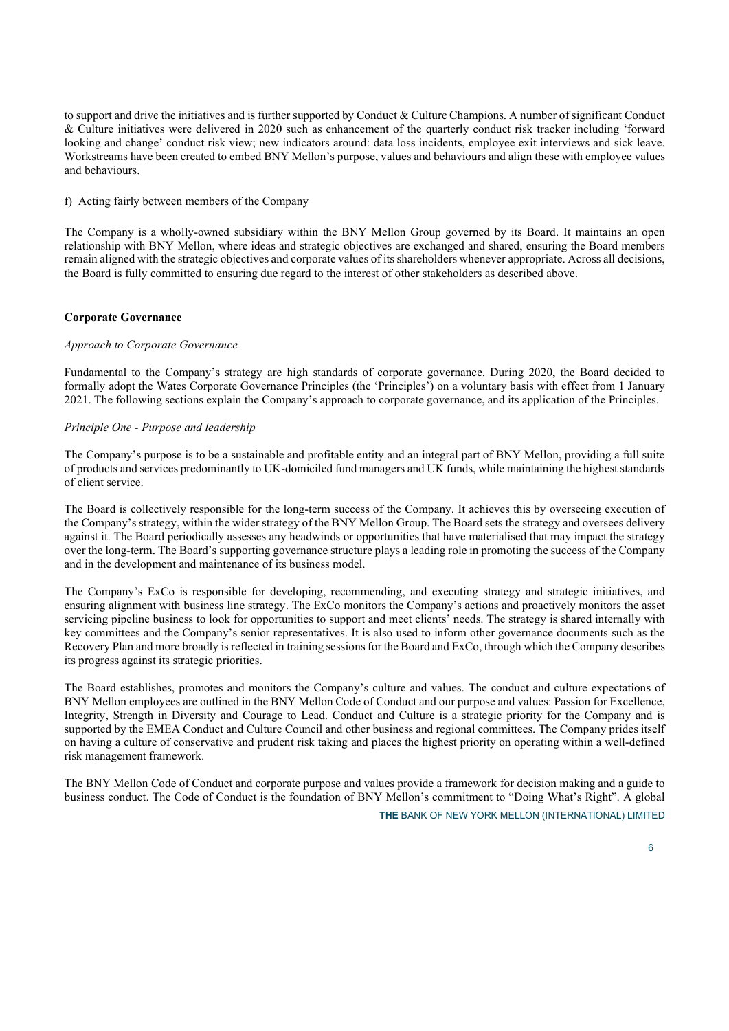to support and drive the initiatives and is further supported by Conduct & Culture Champions. A number of significant Conduct & Culture initiatives were delivered in 2020 such as enhancement of the quarterly conduct risk tracker including 'forward looking and change' conduct risk view; new indicators around: data loss incidents, employee exit interviews and sick leave. Workstreams have been created to embed BNY Mellon's purpose, values and behaviours and align these with employee values and behaviours.

f) Acting fairly between members of the Company

The Company is a wholly-owned subsidiary within the BNY Mellon Group governed by its Board. It maintains an open relationship with BNY Mellon, where ideas and strategic objectives are exchanged and shared, ensuring the Board members remain aligned with the strategic objectives and corporate values of its shareholders whenever appropriate. Across all decisions, the Board is fully committed to ensuring due regard to the interest of other stakeholders as described above.

# Corporate Governance

# Approach to Corporate Governance

Fundamental to the Company's strategy are high standards of corporate governance. During 2020, the Board decided to formally adopt the Wates Corporate Governance Principles (the 'Principles') on a voluntary basis with effect from 1 January 2021. The following sections explain the Company's approach to corporate governance, and its application of the Principles.

# Principle One - Purpose and leadership

The Company's purpose is to be a sustainable and profitable entity and an integral part of BNY Mellon, providing a full suite of products and services predominantly to UK-domiciled fund managers and UK funds, while maintaining the highest standards of client service.

The Board is collectively responsible for the long-term success of the Company. It achieves this by overseeing execution of the Company's strategy, within the wider strategy of the BNY Mellon Group. The Board sets the strategy and oversees delivery against it. The Board periodically assesses any headwinds or opportunities that have materialised that may impact the strategy over the long-term. The Board's supporting governance structure plays a leading role in promoting the success of the Company and in the development and maintenance of its business model.

The Company's ExCo is responsible for developing, recommending, and executing strategy and strategic initiatives, and ensuring alignment with business line strategy. The ExCo monitors the Company's actions and proactively monitors the asset servicing pipeline business to look for opportunities to support and meet clients' needs. The strategy is shared internally with key committees and the Company's senior representatives. It is also used to inform other governance documents such as the Recovery Plan and more broadly is reflected in training sessions for the Board and ExCo, through which the Company describes its progress against its strategic priorities.

The Board establishes, promotes and monitors the Company's culture and values. The conduct and culture expectations of BNY Mellon employees are outlined in the BNY Mellon Code of Conduct and our purpose and values: Passion for Excellence, Integrity, Strength in Diversity and Courage to Lead. Conduct and Culture is a strategic priority for the Company and is supported by the EMEA Conduct and Culture Council and other business and regional committees. The Company prides itself on having a culture of conservative and prudent risk taking and places the highest priority on operating within a well-defined risk management framework.

The BNY Mellon Code of Conduct and corporate purpose and values provide a framework for decision making and a guide to business conduct. The Code of Conduct is the foundation of BNY Mellon's commitment to "Doing What's Right". A global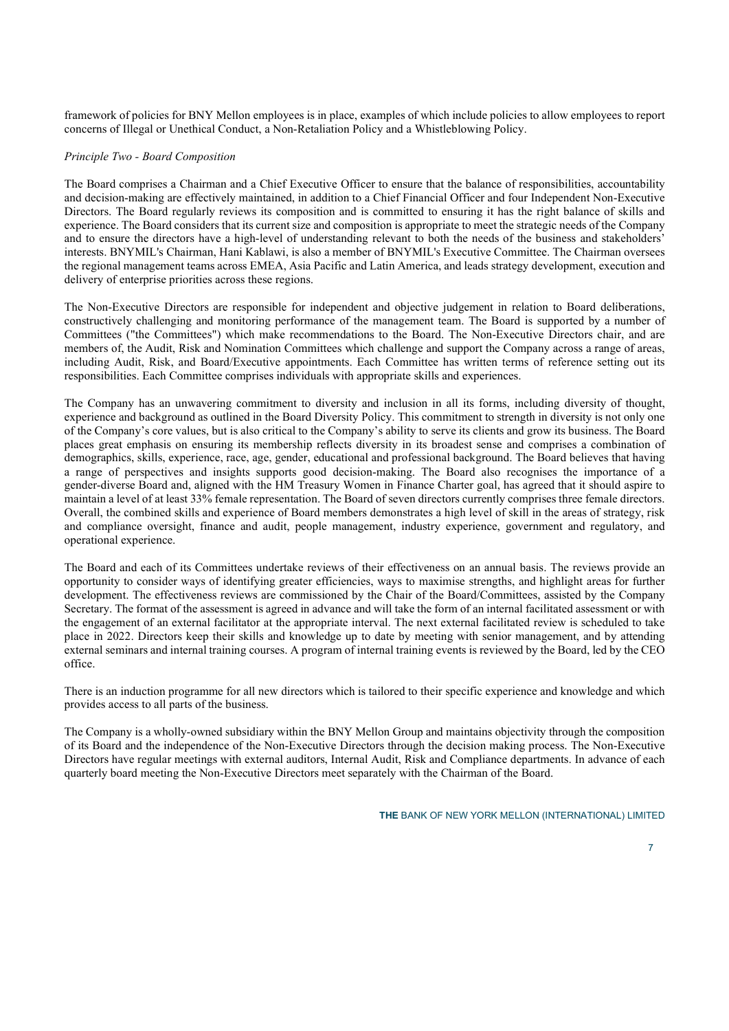framework of policies for BNY Mellon employees is in place, examples of which include policies to allow employees to report concerns of Illegal or Unethical Conduct, a Non-Retaliation Policy and a Whistleblowing Policy.

# Principle Two - Board Composition

The Board comprises a Chairman and a Chief Executive Officer to ensure that the balance of responsibilities, accountability and decision-making are effectively maintained, in addition to a Chief Financial Officer and four Independent Non-Executive Directors. The Board regularly reviews its composition and is committed to ensuring it has the right balance of skills and experience. The Board considers that its current size and composition is appropriate to meet the strategic needs of the Company and to ensure the directors have a high-level of understanding relevant to both the needs of the business and stakeholders' interests. BNYMIL's Chairman, Hani Kablawi, is also a member of BNYMIL's Executive Committee. The Chairman oversees the regional management teams across EMEA, Asia Pacific and Latin America, and leads strategy development, execution and delivery of enterprise priorities across these regions.

The Non-Executive Directors are responsible for independent and objective judgement in relation to Board deliberations, constructively challenging and monitoring performance of the management team. The Board is supported by a number of Committees ("the Committees") which make recommendations to the Board. The Non-Executive Directors chair, and are members of, the Audit, Risk and Nomination Committees which challenge and support the Company across a range of areas, including Audit, Risk, and Board/Executive appointments. Each Committee has written terms of reference setting out its responsibilities. Each Committee comprises individuals with appropriate skills and experiences.

The Company has an unwavering commitment to diversity and inclusion in all its forms, including diversity of thought, experience and background as outlined in the Board Diversity Policy. This commitment to strength in diversity is not only one of the Company's core values, but is also critical to the Company's ability to serve its clients and grow its business. The Board places great emphasis on ensuring its membership reflects diversity in its broadest sense and comprises a combination of demographics, skills, experience, race, age, gender, educational and professional background. The Board believes that having a range of perspectives and insights supports good decision-making. The Board also recognises the importance of a gender-diverse Board and, aligned with the HM Treasury Women in Finance Charter goal, has agreed that it should aspire to maintain a level of at least 33% female representation. The Board of seven directors currently comprises three female directors. Overall, the combined skills and experience of Board members demonstrates a high level of skill in the areas of strategy, risk and compliance oversight, finance and audit, people management, industry experience, government and regulatory, and operational experience.

The Board and each of its Committees undertake reviews of their effectiveness on an annual basis. The reviews provide an opportunity to consider ways of identifying greater efficiencies, ways to maximise strengths, and highlight areas for further development. The effectiveness reviews are commissioned by the Chair of the Board/Committees, assisted by the Company Secretary. The format of the assessment is agreed in advance and will take the form of an internal facilitated assessment or with the engagement of an external facilitator at the appropriate interval. The next external facilitated review is scheduled to take place in 2022. Directors keep their skills and knowledge up to date by meeting with senior management, and by attending external seminars and internal training courses. A program of internal training events is reviewed by the Board, led by the CEO office.

There is an induction programme for all new directors which is tailored to their specific experience and knowledge and which provides access to all parts of the business.

The Company is a wholly-owned subsidiary within the BNY Mellon Group and maintains objectivity through the composition of its Board and the independence of the Non-Executive Directors through the decision making process. The Non-Executive Directors have regular meetings with external auditors, Internal Audit, Risk and Compliance departments. In advance of each quarterly board meeting the Non-Executive Directors meet separately with the Chairman of the Board.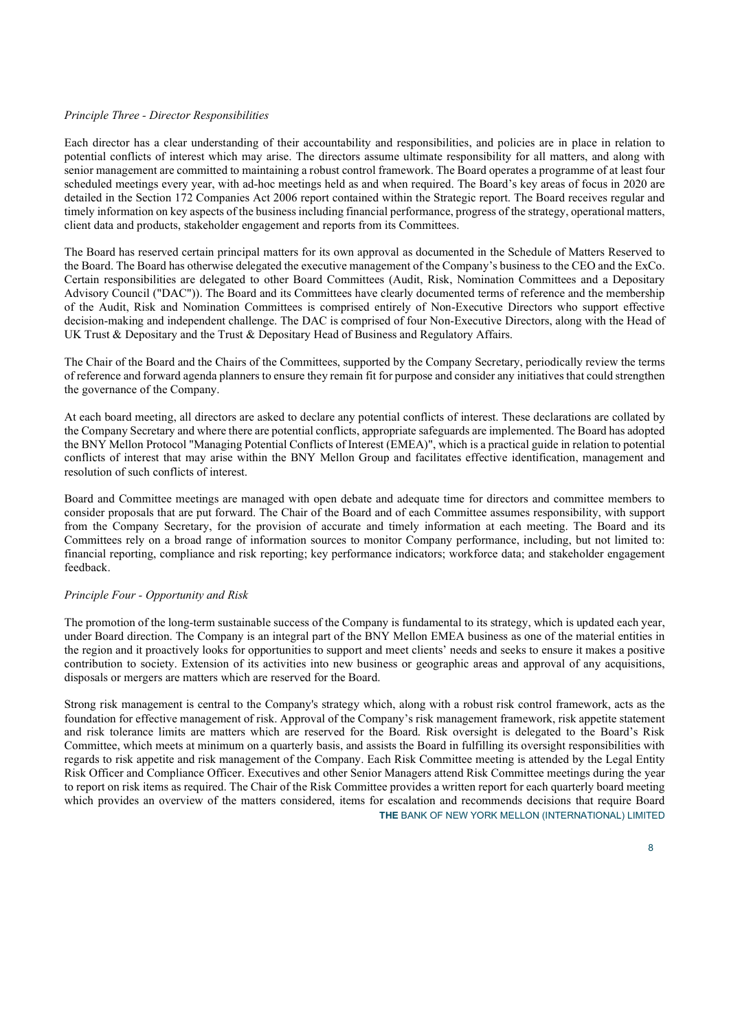# Principle Three - Director Responsibilities

Each director has a clear understanding of their accountability and responsibilities, and policies are in place in relation to potential conflicts of interest which may arise. The directors assume ultimate responsibility for all matters, and along with senior management are committed to maintaining a robust control framework. The Board operates a programme of at least four scheduled meetings every year, with ad-hoc meetings held as and when required. The Board's key areas of focus in 2020 are detailed in the Section 172 Companies Act 2006 report contained within the Strategic report. The Board receives regular and timely information on key aspects of the business including financial performance, progress of the strategy, operational matters, client data and products, stakeholder engagement and reports from its Committees.

The Board has reserved certain principal matters for its own approval as documented in the Schedule of Matters Reserved to the Board. The Board has otherwise delegated the executive management of the Company's business to the CEO and the ExCo. Certain responsibilities are delegated to other Board Committees (Audit, Risk, Nomination Committees and a Depositary Advisory Council ("DAC")). The Board and its Committees have clearly documented terms of reference and the membership of the Audit, Risk and Nomination Committees is comprised entirely of Non-Executive Directors who support effective decision-making and independent challenge. The DAC is comprised of four Non-Executive Directors, along with the Head of UK Trust & Depositary and the Trust & Depositary Head of Business and Regulatory Affairs.

The Chair of the Board and the Chairs of the Committees, supported by the Company Secretary, periodically review the terms of reference and forward agenda planners to ensure they remain fit for purpose and consider any initiatives that could strengthen the governance of the Company.

At each board meeting, all directors are asked to declare any potential conflicts of interest. These declarations are collated by the Company Secretary and where there are potential conflicts, appropriate safeguards are implemented. The Board has adopted the BNY Mellon Protocol "Managing Potential Conflicts of Interest (EMEA)", which is a practical guide in relation to potential conflicts of interest that may arise within the BNY Mellon Group and facilitates effective identification, management and resolution of such conflicts of interest.

Board and Committee meetings are managed with open debate and adequate time for directors and committee members to consider proposals that are put forward. The Chair of the Board and of each Committee assumes responsibility, with support from the Company Secretary, for the provision of accurate and timely information at each meeting. The Board and its Committees rely on a broad range of information sources to monitor Company performance, including, but not limited to: financial reporting, compliance and risk reporting; key performance indicators; workforce data; and stakeholder engagement feedback.

# Principle Four - Opportunity and Risk

The promotion of the long-term sustainable success of the Company is fundamental to its strategy, which is updated each year, under Board direction. The Company is an integral part of the BNY Mellon EMEA business as one of the material entities in the region and it proactively looks for opportunities to support and meet clients' needs and seeks to ensure it makes a positive contribution to society. Extension of its activities into new business or geographic areas and approval of any acquisitions, disposals or mergers are matters which are reserved for the Board.

THE BANK OF NEW YORK MELLON (INTERNATIONAL) LIMITED Strong risk management is central to the Company's strategy which, along with a robust risk control framework, acts as the foundation for effective management of risk. Approval of the Company's risk management framework, risk appetite statement and risk tolerance limits are matters which are reserved for the Board. Risk oversight is delegated to the Board's Risk Committee, which meets at minimum on a quarterly basis, and assists the Board in fulfilling its oversight responsibilities with regards to risk appetite and risk management of the Company. Each Risk Committee meeting is attended by the Legal Entity Risk Officer and Compliance Officer. Executives and other Senior Managers attend Risk Committee meetings during the year to report on risk items as required. The Chair of the Risk Committee provides a written report for each quarterly board meeting which provides an overview of the matters considered, items for escalation and recommends decisions that require Board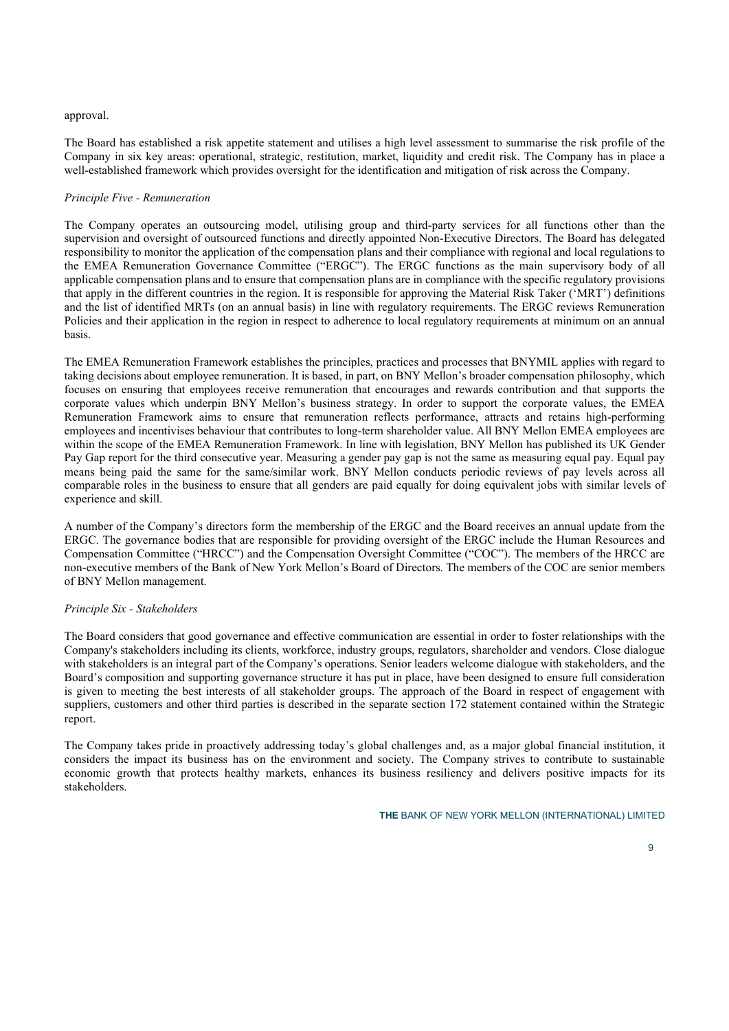#### approval.

The Board has established a risk appetite statement and utilises a high level assessment to summarise the risk profile of the Company in six key areas: operational, strategic, restitution, market, liquidity and credit risk. The Company has in place a well-established framework which provides oversight for the identification and mitigation of risk across the Company.

# Principle Five - Remuneration

The Company operates an outsourcing model, utilising group and third-party services for all functions other than the supervision and oversight of outsourced functions and directly appointed Non-Executive Directors. The Board has delegated responsibility to monitor the application of the compensation plans and their compliance with regional and local regulations to the EMEA Remuneration Governance Committee ("ERGC"). The ERGC functions as the main supervisory body of all applicable compensation plans and to ensure that compensation plans are in compliance with the specific regulatory provisions that apply in the different countries in the region. It is responsible for approving the Material Risk Taker ('MRT') definitions and the list of identified MRTs (on an annual basis) in line with regulatory requirements. The ERGC reviews Remuneration Policies and their application in the region in respect to adherence to local regulatory requirements at minimum on an annual basis.

The EMEA Remuneration Framework establishes the principles, practices and processes that BNYMIL applies with regard to taking decisions about employee remuneration. It is based, in part, on BNY Mellon's broader compensation philosophy, which focuses on ensuring that employees receive remuneration that encourages and rewards contribution and that supports the corporate values which underpin BNY Mellon's business strategy. In order to support the corporate values, the EMEA Remuneration Framework aims to ensure that remuneration reflects performance, attracts and retains high-performing employees and incentivises behaviour that contributes to long-term shareholder value. All BNY Mellon EMEA employees are within the scope of the EMEA Remuneration Framework. In line with legislation, BNY Mellon has published its UK Gender Pay Gap report for the third consecutive year. Measuring a gender pay gap is not the same as measuring equal pay. Equal pay means being paid the same for the same/similar work. BNY Mellon conducts periodic reviews of pay levels across all comparable roles in the business to ensure that all genders are paid equally for doing equivalent jobs with similar levels of experience and skill.

A number of the Company's directors form the membership of the ERGC and the Board receives an annual update from the ERGC. The governance bodies that are responsible for providing oversight of the ERGC include the Human Resources and Compensation Committee ("HRCC") and the Compensation Oversight Committee ("COC"). The members of the HRCC are non-executive members of the Bank of New York Mellon's Board of Directors. The members of the COC are senior members of BNY Mellon management.

#### Principle Six - Stakeholders

The Board considers that good governance and effective communication are essential in order to foster relationships with the Company's stakeholders including its clients, workforce, industry groups, regulators, shareholder and vendors. Close dialogue with stakeholders is an integral part of the Company's operations. Senior leaders welcome dialogue with stakeholders, and the Board's composition and supporting governance structure it has put in place, have been designed to ensure full consideration is given to meeting the best interests of all stakeholder groups. The approach of the Board in respect of engagement with suppliers, customers and other third parties is described in the separate section 172 statement contained within the Strategic report.

The Company takes pride in proactively addressing today's global challenges and, as a major global financial institution, it considers the impact its business has on the environment and society. The Company strives to contribute to sustainable economic growth that protects healthy markets, enhances its business resiliency and delivers positive impacts for its stakeholders.